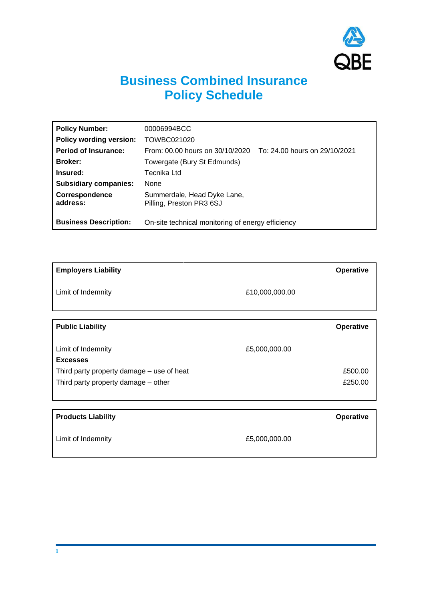

## **Business Combined Insurance Policy Schedule**

| <b>Policy Number:</b>          | 00006994BCC                                                      |
|--------------------------------|------------------------------------------------------------------|
| <b>Policy wording version:</b> | TOWBC021020                                                      |
| <b>Period of Insurance:</b>    | From: 00.00 hours on 30/10/2020<br>To: 24.00 hours on 29/10/2021 |
| <b>Broker:</b>                 | Towergate (Bury St Edmunds)                                      |
| Insured:                       | Tecnika Ltd                                                      |
| <b>Subsidiary companies:</b>   | <b>None</b>                                                      |
| Correspondence<br>address:     | Summerdale, Head Dyke Lane,<br>Pilling, Preston PR3 6SJ          |
| <b>Business Description:</b>   | On-site technical monitoring of energy efficiency                |

| <b>Employers Liability</b>                |                | Operative        |
|-------------------------------------------|----------------|------------------|
| Limit of Indemnity                        | £10,000,000.00 |                  |
|                                           |                |                  |
| <b>Public Liability</b>                   |                | <b>Operative</b> |
|                                           |                |                  |
| Limit of Indemnity                        | £5,000,000.00  |                  |
| <b>Excesses</b>                           |                |                  |
| Third party property damage – use of heat |                | £500.00          |
| Third party property damage – other       |                | £250.00          |
|                                           |                |                  |
|                                           |                |                  |
| <b>Products Liability</b>                 |                | <b>Operative</b> |
|                                           |                |                  |
| Limit of Indemnity                        | £5,000,000.00  |                  |